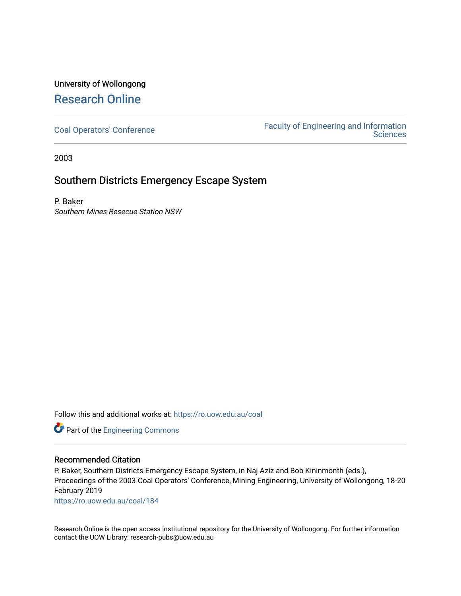## University of Wollongong [Research Online](https://ro.uow.edu.au/)

[Coal Operators' Conference](https://ro.uow.edu.au/coal) [Faculty of Engineering and Information](https://ro.uow.edu.au/eis)  **Sciences** 

2003

## Southern Districts Emergency Escape System

P. Baker Southern Mines Resecue Station NSW

Follow this and additional works at: [https://ro.uow.edu.au/coal](https://ro.uow.edu.au/coal?utm_source=ro.uow.edu.au%2Fcoal%2F184&utm_medium=PDF&utm_campaign=PDFCoverPages) 

Part of the [Engineering Commons](http://network.bepress.com/hgg/discipline/217?utm_source=ro.uow.edu.au%2Fcoal%2F184&utm_medium=PDF&utm_campaign=PDFCoverPages)

### Recommended Citation

P. Baker, Southern Districts Emergency Escape System, in Naj Aziz and Bob Kininmonth (eds.), Proceedings of the 2003 Coal Operators' Conference, Mining Engineering, University of Wollongong, 18-20 February 2019

[https://ro.uow.edu.au/coal/184](https://ro.uow.edu.au/coal/184?utm_source=ro.uow.edu.au%2Fcoal%2F184&utm_medium=PDF&utm_campaign=PDFCoverPages) 

Research Online is the open access institutional repository for the University of Wollongong. For further information contact the UOW Library: research-pubs@uow.edu.au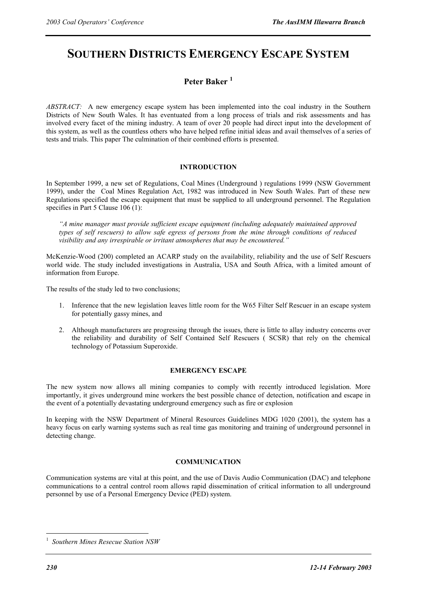# **SOUTHERN DISTRICTS EMERGENCY ESCAPE SYSTEM**

### **Peter Baker <sup>1</sup>**

*ABSTRACT:* A new emergency escape system has been implemented into the coal industry in the Southern Districts of New South Wales. It has eventuated from a long process of trials and risk assessments and has involved every facet of the mining industry. A team of over 20 people had direct input into the development of this system, as well as the countless others who have helped refine initial ideas and avail themselves of a series of tests and trials. This paper The culmination of their combined efforts is presented.

#### **INTRODUCTION**

In September 1999, a new set of Regulations, Coal Mines (Underground ) regulations 1999 (NSW Government 1999), under the Coal Mines Regulation Act, 1982 was introduced in New South Wales. Part of these new Regulations specified the escape equipment that must be supplied to all underground personnel. The Regulation specifies in Part 5 Clause 106 (1):

*"A mine manager must provide sufficient escape equipment (including adequately maintained approved types of self rescuers) to allow safe egress of persons from the mine through conditions of reduced visibility and any irrespirable or irritant atmospheres that may be encountered."* 

McKenzie-Wood (200) completed an ACARP study on the availability, reliability and the use of Self Rescuers world wide. The study included investigations in Australia, USA and South Africa, with a limited amount of information from Europe.

The results of the study led to two conclusions;

- 1. Inference that the new legislation leaves little room for the W65 Filter Self Rescuer in an escape system for potentially gassy mines, and
- 2. Although manufacturers are progressing through the issues, there is little to allay industry concerns over the reliability and durability of Self Contained Self Rescuers ( SCSR) that rely on the chemical technology of Potassium Superoxide.

#### **EMERGENCY ESCAPE**

The new system now allows all mining companies to comply with recently introduced legislation. More importantly, it gives underground mine workers the best possible chance of detection, notification and escape in the event of a potentially devastating underground emergency such as fire or explosion

In keeping with the NSW Department of Mineral Resources Guidelines MDG 1020 (2001), the system has a heavy focus on early warning systems such as real time gas monitoring and training of underground personnel in detecting change.

#### **COMMUNICATION**

Communication systems are vital at this point, and the use of Davis Audio Communication (DAC) and telephone communications to a central control room allows rapid dissemination of critical information to all underground personnel by use of a Personal Emergency Device (PED) system.

1 *Southern Mines Resecue Station NSW* 

 $\overline{a}$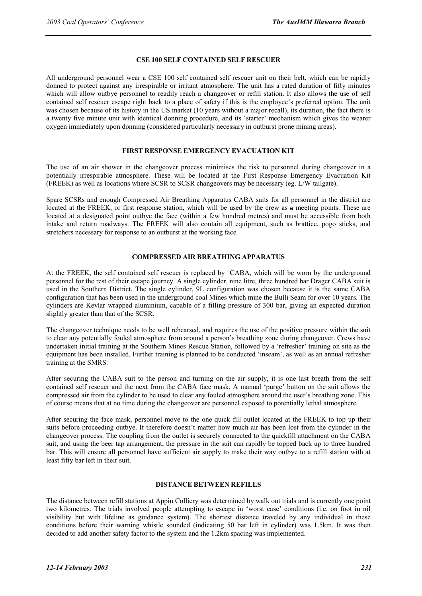#### **CSE 100 SELF CONTAINED SELF RESCUER**

All underground personnel wear a CSE 100 self contained self rescuer unit on their belt, which can be rapidly donned to protect against any irrespirable or irritant atmosphere. The unit has a rated duration of fifty minutes which will allow outbye personnel to readily reach a changeover or refill station. It also allows the use of self contained self rescuer escape right back to a place of safety if this is the employee's preferred option. The unit was chosen because of its history in the US market (10 years without a major recall), its duration, the fact there is a twenty five minute unit with identical donning procedure, and its 'starter' mechanism which gives the wearer oxygen immediately upon donning (considered particularly necessary in outburst prone mining areas).

#### **FIRST RESPONSE EMERGENCY EVACUATION KIT**

The use of an air shower in the changeover process minimises the risk to personnel during changeover in a potentially irrespirable atmosphere. These will be located at the First Response Emergency Evacuation Kit (FREEK) as well as locations where SCSR to SCSR changeovers may be necessary (eg. L/W tailgate).

Spare SCSRs and enough Compressed Air Breathing Apparatus CABA suits for all personnel in the district are located at the FREEK, or first response station, which will be used by the crew as a meeting points. These are located at a designated point outbye the face (within a few hundred metres) and must be accessible from both intake and return roadways. The FREEK will also contain all equipment, such as brattice, pogo sticks, and stretchers necessary for response to an outburst at the working face

#### **COMPRESSED AIR BREATHING APPARATUS**

At the FREEK, the self contained self rescuer is replaced by CABA, which will be worn by the underground personnel for the rest of their escape journey. A single cylinder, nine litre, three hundred bar Drager CABA suit is used in the Southern District. The single cylinder, 9L configuration was chosen because it is the same CABA configuration that has been used in the underground coal Mines which mine the Bulli Seam for over 10 years. The cylinders are Kevlar wrapped aluminium, capable of a filling pressure of 300 bar, giving an expected duration slightly greater than that of the SCSR.

The changeover technique needs to be well rehearsed, and requires the use of the positive pressure within the suit to clear any potentially fouled atmosphere from around a person's breathing zone during changeover. Crews have undertaken initial training at the Southern Mines Rescue Station, followed by a 'refresher' training on site as the equipment has been installed. Further training is planned to be conducted 'inseam', as well as an annual refresher training at the SMRS.

After securing the CABA suit to the person and turning on the air supply, it is one last breath from the self contained self rescuer and the next from the CABA face mask. A manual 'purge' button on the suit allows the compressed air from the cylinder to be used to clear any fouled atmosphere around the user's breathing zone. This of course means that at no time during the changeover are personnel exposed to potentially lethal atmosphere.

After securing the face mask, personnel move to the one quick fill outlet located at the FREEK to top up their suits before proceeding outbye. It therefore doesn't matter how much air has been lost from the cylinder in the changeover process. The coupling from the outlet is securely connected to the quickfill attachment on the CABA suit, and using the beer tap arrangement, the pressure in the suit can rapidly be topped back up to three hundred bar. This will ensure all personnel have sufficient air supply to make their way outbye to a refill station with at least fifty bar left in their suit.

#### **DISTANCE BETWEEN REFILLS**

The distance between refill stations at Appin Colliery was determined by walk out trials and is currently one point two kilometres. The trials involved people attempting to escape in 'worst case' conditions (i.e. on foot in nil visibility but with lifeline as guidance system). The shortest distance traveled by any individual in these conditions before their warning whistle sounded (indicating 50 bar left in cylinder) was 1.5km. It was then decided to add another safety factor to the system and the 1.2km spacing was implemented.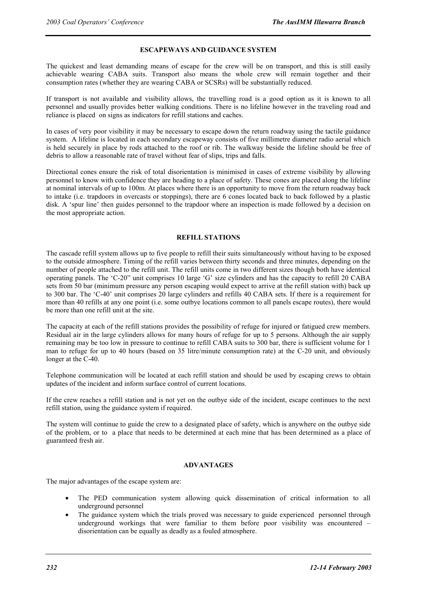#### **ESCAPEWAYS AND GUIDANCE SYSTEM**

The quickest and least demanding means of escape for the crew will be on transport, and this is still easily achievable wearing CABA suits. Transport also means the whole crew will remain together and their consumption rates (whether they are wearing CABA or SCSRs) will be substantially reduced.

If transport is not available and visibility allows, the travelling road is a good option as it is known to all personnel and usually provides better walking conditions. There is no lifeline however in the traveling road and reliance is placed on signs as indicators for refill stations and caches.

In cases of very poor visibility it may be necessary to escape down the return roadway using the tactile guidance system. A lifeline is located in each secondary escapeway consists of five millimetre diameter radio aerial which is held securely in place by rods attached to the roof or rib. The walkway beside the lifeline should be free of debris to allow a reasonable rate of travel without fear of slips, trips and falls.

Directional cones ensure the risk of total disorientation is minimised in cases of extreme visibility by allowing personnel to know with confidence they are heading to a place of safety. These cones are placed along the lifeline at nominal intervals of up to 100m. At places where there is an opportunity to move from the return roadway back to intake (i.e. trapdoors in overcasts or stoppings), there are 6 cones located back to back followed by a plastic disk. A 'spur line' then guides personnel to the trapdoor where an inspection is made followed by a decision on the most appropriate action.

#### **REFILL STATIONS**

The cascade refill system allows up to five people to refill their suits simultaneously without having to be exposed to the outside atmosphere. Timing of the refill varies between thirty seconds and three minutes, depending on the number of people attached to the refill unit. The refill units come in two different sizes though both have identical operating panels. The 'C-20" unit comprises 10 large 'G' size cylinders and has the capacity to refill 20 CABA sets from 50 bar (minimum pressure any person escaping would expect to arrive at the refill station with) back up to 300 bar. The 'C-40' unit comprises 20 large cylinders and refills 40 CABA sets. If there is a requirement for more than 40 refills at any one point (i.e. some outbye locations common to all panels escape routes), there would be more than one refill unit at the site.

The capacity at each of the refill stations provides the possibility of refuge for injured or fatigued crew members. Residual air in the large cylinders allows for many hours of refuge for up to 5 persons. Although the air supply remaining may be too low in pressure to continue to refill CABA suits to 300 bar, there is sufficient volume for 1 man to refuge for up to 40 hours (based on 35 litre/minute consumption rate) at the C-20 unit, and obviously longer at the C-40.

Telephone communication will be located at each refill station and should be used by escaping crews to obtain updates of the incident and inform surface control of current locations.

If the crew reaches a refill station and is not yet on the outbye side of the incident, escape continues to the next refill station, using the guidance system if required.

The system will continue to guide the crew to a designated place of safety, which is anywhere on the outbye side of the problem, or to a place that needs to be determined at each mine that has been determined as a place of guaranteed fresh air.

#### **ADVANTAGES**

The major advantages of the escape system are:

- The PED communication system allowing quick dissemination of critical information to all underground personnel
- The guidance system which the trials proved was necessary to guide experienced personnel through underground workings that were familiar to them before poor visibility was encountered – disorientation can be equally as deadly as a fouled atmosphere.